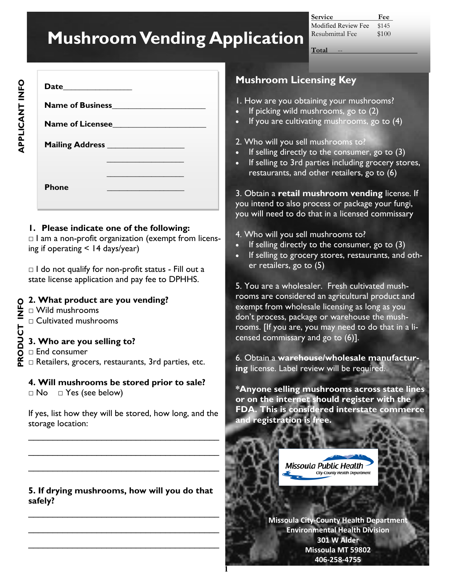# **Mushroom Vending Application**

**Service Fee** Modified Review Fee \$145 Resubmittal Fee \$100

 $Total$ 

|              | Name of Licensee |
|--------------|------------------|
|              |                  |
| <b>Phone</b> |                  |

#### **1. Please indicate one of the following:**

 $\Box$  I am a non-profit organization (exempt from licensing if operating < 14 days/year)

 $\Box$  I do not qualify for non-profit status - Fill out a state license application and pay fee to DPHHS.

#### **2. What product are you vending?**

- $\Box$  Wild mushrooms
- □ Cultivated mushrooms

### **3. Who are you selling to?**

□ End consumer **PRODUCT INFO**

PRODUCT INFO

□ Retailers, grocers, restaurants, 3rd parties, etc.

## **4. Will mushrooms be stored prior to sale?**

□ No □ Yes (see below)

If yes, list how they will be stored, how long, and the storage location:

 $\mathcal{L}_\text{max}$  , where  $\mathcal{L}_\text{max}$  and  $\mathcal{L}_\text{max}$  and  $\mathcal{L}_\text{max}$ 

\_\_\_\_\_\_\_\_\_\_\_\_\_\_\_\_\_\_\_\_\_\_\_\_\_\_\_\_\_\_\_\_\_\_\_\_\_\_\_

\_\_\_\_\_\_\_\_\_\_\_\_\_\_\_\_\_\_\_\_\_\_\_\_\_\_\_\_\_\_\_\_\_\_\_\_\_\_\_

#### **5. If drying mushrooms, how will you do that safely?**

\_\_\_\_\_\_\_\_\_\_\_\_\_\_\_\_\_\_\_\_\_\_\_\_\_\_\_\_\_\_\_\_\_\_\_\_\_\_\_

\_\_\_\_\_\_\_\_\_\_\_\_\_\_\_\_\_\_\_\_\_\_\_\_\_\_\_\_\_\_\_\_\_\_\_\_\_\_\_

\_\_\_\_\_\_\_\_\_\_\_\_\_\_\_\_\_\_\_\_\_\_\_\_\_\_\_\_\_\_\_\_\_\_\_\_\_\_\_

## **Mushroom Licensing Key**

1. How are you obtaining your mushrooms?

- If picking wild mushrooms, go to (2)
- If you are cultivating mushrooms, go to  $(4)$

#### 2. Who will you sell mushrooms to?

- If selling directly to the consumer, go to  $(3)$
- If selling to 3rd parties including grocery stores, restaurants, and other retailers, go to (6)

3. Obtain a **retail mushroom vending** license. If you intend to also process or package your fungi, you will need to do that in a licensed commissary

- 4. Who will you sell mushrooms to?
- If selling directly to the consumer, go to  $(3)$
- If selling to grocery stores, restaurants, and other retailers, go to (5)

5. You are a wholesaler. Fresh cultivated mushrooms are considered an agricultural product and exempt from wholesale licensing as long as you don't process, package or warehouse the mushrooms. [If you are, you may need to do that in a licensed commissary and go to (6)].

6. Obtain a **warehouse/wholesale manufacturing** license. Label review will be required.

**\*Anyone selling mushrooms across state lines or on the internet should register with the FDA. This is considered interstate commerce and registration is free.** 

> **Missoula Public Health** City-County Health Depar

**Missoula City-County Health Department Environmental Health Division 301 W Alder Missoula MT 59802 406-258-4755**

**1**